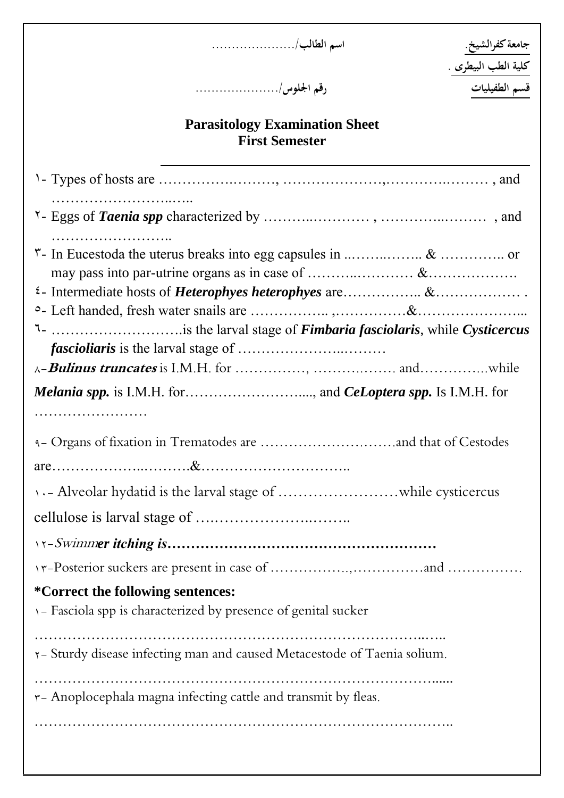**جامعة كفرالشيخ. اسم الطالب...................../**

جامعة كفرالشيخ<sub>.</sub><br>كلية الطب البيطرى .<br>قسم الطفيليات

**قسم الطفيليات رقم اجللوس...................../**

# **Parasitology Examination Sheet First Semester**

| 1- is the larval stage of <i>Fimbaria fasciolaris</i> , while Cysticercus                           |
|-----------------------------------------------------------------------------------------------------|
|                                                                                                     |
|                                                                                                     |
|                                                                                                     |
|                                                                                                     |
|                                                                                                     |
|                                                                                                     |
|                                                                                                     |
|                                                                                                     |
| *Correct the following sentences:<br>1- Fasciola spp is characterized by presence of genital sucker |
| r-Sturdy disease infecting man and caused Metacestode of Taenia solium.                             |
| r- Anoplocephala magna infecting cattle and transmit by fleas.                                      |
|                                                                                                     |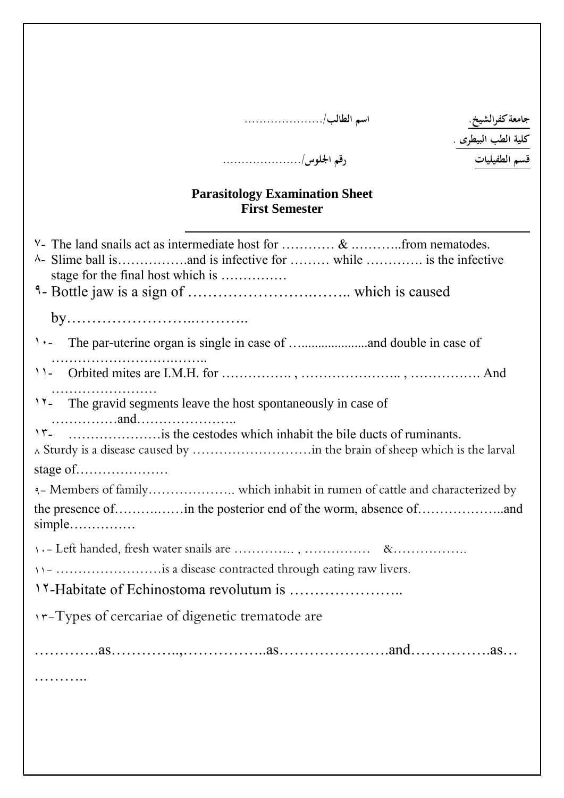# **جامعة كفرالشيخ. اسم الطالب...................../**

**كلية الطب البيطرى .**

# **قسم الطفيليات رقم اجللوس...................../**

#### **Parasitology Examination Sheet First Semester**

| stage for the final host which is                                     |
|-----------------------------------------------------------------------|
|                                                                       |
|                                                                       |
|                                                                       |
|                                                                       |
| 11- The gravid segments leave the host spontaneously in case of       |
|                                                                       |
| stage of $\dots$ $\dots$                                              |
|                                                                       |
| the presence ofin the posterior end of the worm, absence of<br>simple |
|                                                                       |
| 11- is a disease contracted through eating raw livers.                |
|                                                                       |
| <i>I</i> interest of cercariae of digenetic trematode are             |
|                                                                       |
|                                                                       |
|                                                                       |
|                                                                       |
|                                                                       |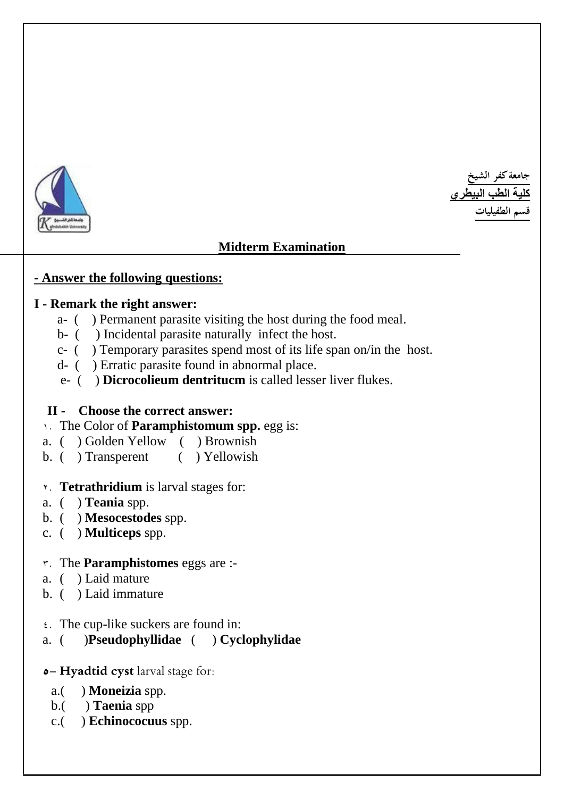

**جامعة كفر الشيخ كلية الطب البيطري قسم الطفيليات** 

# **Midterm Examination**

#### **- Answer the following questions:**

#### **I - Remark the right answer:**

- a- ( ) Permanent parasite visiting the host during the food meal.
- b- ( ) Incidental parasite naturally infect the host.
- c- ( ) Temporary parasites spend most of its life span on/in the host.
- d- ( ) Erratic parasite found in abnormal place.
- e- ( ) **Dicrocolieum dentritucm** is called lesser liver flukes.

# **II - Choose the correct answer:**

- 1. The Color of **Paramphistomum spp.** egg is:
- a. ( ) Golden Yellow ( ) Brownish
- b. ( ) Transperent ( ) Yellowish

# 2. **Tetrathridium** is larval stages for:

- a. ( ) **Teania** spp.
- b. ( ) **Mesocestodes** spp.
- c. ( ) **Multiceps** spp.

# 3. The **Paramphistomes** eggs are :-

- a. ( ) Laid mature
- b. ( ) Laid immature
- 4. The cup-like suckers are found in:

# a. ( )**Pseudophyllidae** ( ) **Cyclophylidae**

# **5- Hyadtid cyst** larval stage for:

- a.( ) **Moneizia** spp.
- b.( ) **Taenia** spp
- c.( ) **Echinococuus** spp.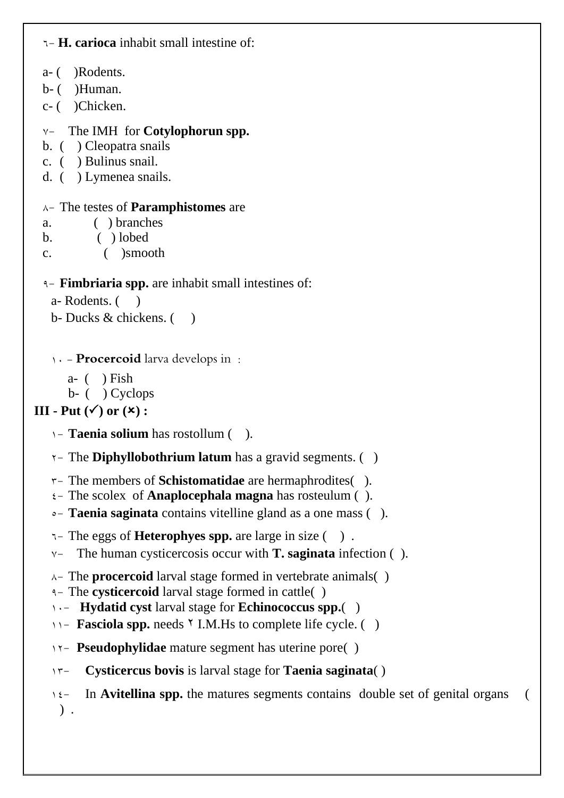```
6- H. carioca inhabit small intestine of: 
 a- ( )Rodents. 
 b - ( )Human.
 c- ( )Chicken. 
 7- The IMH for Cotylophorun spp.
 b. ( ) Cleopatra snails
 c. ( ) Bulinus snail.
 d. ( ) Lymenea snails.
 8- The testes of Paramphistomes are 
 a. ( ) branches 
 b. ( ) lobed
 c. ( )smooth
 9- Fimbriaria spp. are inhabit small intestines of: 
   a- Rodents. ()
   b- Ducks & chickens. ()
   1. Procercoid larva develops in :
      a- ( ) Fish
      b- ( ) Cyclops
III - Put (\checkmark) or (\checkmark) :
   1- Taenia solium has rostollum ( ).
   2- The Diphyllobothrium latum has a gravid segments. ( )
   3- The members of Schistomatidae are hermaphrodites( ).
   4- The scolex of Anaplocephala magna has rosteulum ( ).
   5- Taenia saginata contains vitelline gland as a one mass ( ).
   6- The eggs of Heterophyes spp. are large in size ( ) .
   7- The human cysticercosis occur with T. saginata infection ( ). 
   8- The procercoid larval stage formed in vertebrate animals( ) 
   9- The cysticercoid larval stage formed in cattle( )
   10- Hydatid cyst larval stage for Echinococcus spp.( )
   11<sup>-</sup> Fasciola spp. needs <sup>†</sup> I.M.Hs to complete life cycle. ( )
   12- Pseudophylidae mature segment has uterine pore( )
   13- Cysticercus bovis is larval stage for Taenia saginata( )
   16- In Avitellina spp. the matures segments contains double set of genital organs (
    ) .
```